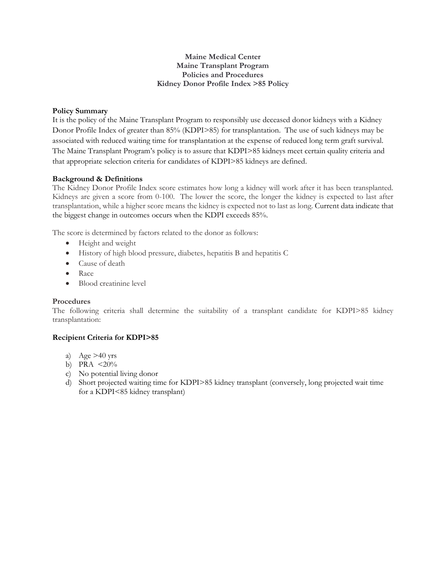## **Maine Medical Center Maine Transplant Program Policies and Procedures Kidney Donor Profile Index >85 Policy**

# **Policy Summary**

It is the policy of the Maine Transplant Program to responsibly use deceased donor kidneys with a Kidney Donor Profile Index of greater than 85% (KDPI>85) for transplantation. The use of such kidneys may be associated with reduced waiting time for transplantation at the expense of reduced long term graft survival. The Maine Transplant Program's policy is to assure that KDPI>85 kidneys meet certain quality criteria and that appropriate selection criteria for candidates of KDPI>85 kidneys are defined.

# **Background & Definitions**

The Kidney Donor Profile Index score estimates how long a kidney will work after it has been transplanted. Kidneys are given a score from 0-100. The lower the score, the longer the kidney is expected to last after transplantation, while a higher score means the kidney is expected not to last as long. Current data indicate that the biggest change in outcomes occurs when the KDPI exceeds 85%.

The score is determined by factors related to the donor as follows:

- Height and weight
- History of high blood pressure, diabetes, hepatitis B and hepatitis C
- Cause of death
- Race
- Blood creatinine level

### **Procedures**

The following criteria shall determine the suitability of a transplant candidate for KDPI>85 kidney transplantation:

# **Recipient Criteria for KDPI>85**

- a) Age  $>40$  yrs
- b) PRA  $\leq 20\%$
- c) No potential living donor
- d) Short projected waiting time for KDPI>85 kidney transplant (conversely, long projected wait time for a KDPI<85 kidney transplant)